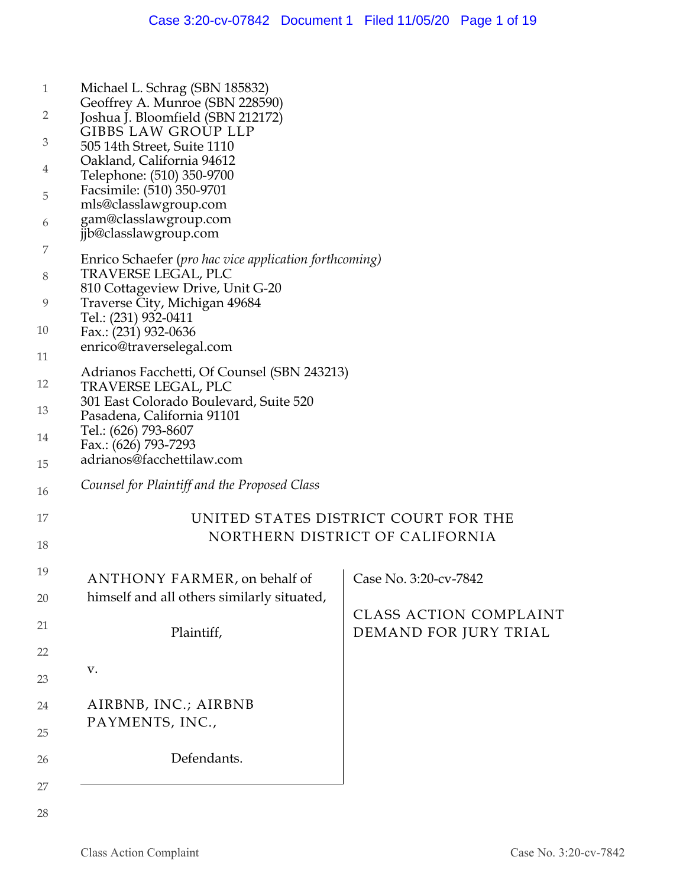| $\mathbf{1}$   | Michael L. Schrag (SBN 185832)                                       |                                      |
|----------------|----------------------------------------------------------------------|--------------------------------------|
| 2              | Geoffrey A. Munroe (SBN 228590)<br>Joshua J. Bloomfield (SBN 212172) |                                      |
|                | <b>GIBBS LAW GROUP LLP</b>                                           |                                      |
| $\mathfrak{Z}$ | 505 14th Street, Suite 1110                                          |                                      |
| 4              | Oakland, California 94612                                            |                                      |
|                | Telephone: (510) 350-9700                                            |                                      |
| 5              | Facsimile: (510) 350-9701<br>mls@classlawgroup.com                   |                                      |
| 6              | gam@classlawgroup.com                                                |                                      |
|                | jjb@classlawgroup.com                                                |                                      |
| 7              | Enrico Schaefer (pro hac vice application forthcoming)               |                                      |
| 8              | TRAVERSE LEGAL, PLC                                                  |                                      |
|                | 810 Cottageview Drive, Unit G-20                                     |                                      |
| 9              | Traverse City, Michigan 49684                                        |                                      |
| 10             | Tel.: (231) 932-0411                                                 |                                      |
|                | Fax.: (231) 932-0636<br>enrico@traverselegal.com                     |                                      |
| 11             |                                                                      |                                      |
|                | Adrianos Facchetti, Of Counsel (SBN 243213)                          |                                      |
| 12             | <b>TRAVERSE LEGAL, PLC</b>                                           |                                      |
| 13             | 301 East Colorado Boulevard, Suite 520<br>Pasadena, California 91101 |                                      |
|                | Tel.: (626) 793-8607                                                 |                                      |
| 14             | Fax.: (626) 793-7293                                                 |                                      |
| 15             | adrianos@facchettilaw.com                                            |                                      |
| 16             | Counsel for Plaintiff and the Proposed Class                         |                                      |
| 17             |                                                                      | UNITED STATES DISTRICT COURT FOR THE |
|                | NORTHERN DISTRICT OF CALIFORNIA                                      |                                      |
| 18             |                                                                      |                                      |
| 19             | ANTHONY FARMER, on behalf of                                         | Case No. 3:20-cv-7842                |
|                |                                                                      |                                      |
| 20             | himself and all others similarly situated,                           | <b>CLASS ACTION COMPLAINT</b>        |
| 21             |                                                                      |                                      |
|                | Plaintiff,                                                           | DEMAND FOR JURY TRIAL                |
| 22             |                                                                      |                                      |
| $23\,$         | ${\bf V}$ .                                                          |                                      |
| 24             | AIRBNB, INC.; AIRBNB                                                 |                                      |
|                | PAYMENTS, INC.,                                                      |                                      |
| 25             |                                                                      |                                      |
| 26             | Defendants.                                                          |                                      |
| 27             |                                                                      |                                      |
|                |                                                                      |                                      |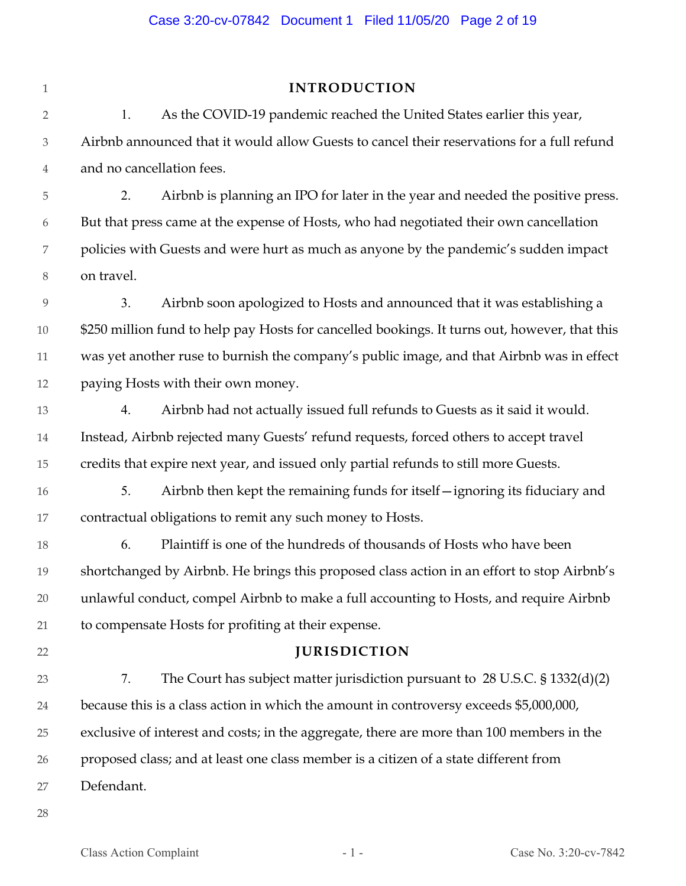| $1\,$          | <b>INTRODUCTION</b>                                                                           |  |
|----------------|-----------------------------------------------------------------------------------------------|--|
| $\overline{2}$ | 1.<br>As the COVID-19 pandemic reached the United States earlier this year,                   |  |
| 3              | Airbnb announced that it would allow Guests to cancel their reservations for a full refund    |  |
| $\overline{4}$ | and no cancellation fees.                                                                     |  |
| $\mathbf 5$    | Airbnb is planning an IPO for later in the year and needed the positive press.<br>2.          |  |
| 6              | But that press came at the expense of Hosts, who had negotiated their own cancellation        |  |
| 7              | policies with Guests and were hurt as much as anyone by the pandemic's sudden impact          |  |
| $8\,$          | on travel.                                                                                    |  |
| 9              | 3.<br>Airbnb soon apologized to Hosts and announced that it was establishing a                |  |
| $10\,$         | \$250 million fund to help pay Hosts for cancelled bookings. It turns out, however, that this |  |
| $11\,$         | was yet another ruse to burnish the company's public image, and that Airbnb was in effect     |  |
| 12             | paying Hosts with their own money.                                                            |  |
| 13             | Airbnb had not actually issued full refunds to Guests as it said it would.<br>4.              |  |
| 14             | Instead, Airbnb rejected many Guests' refund requests, forced others to accept travel         |  |
| 15             | credits that expire next year, and issued only partial refunds to still more Guests.          |  |
| 16             | 5.<br>Airbnb then kept the remaining funds for itself - ignoring its fiduciary and            |  |
| 17             | contractual obligations to remit any such money to Hosts.                                     |  |
| 18             | 6.<br>Plaintiff is one of the hundreds of thousands of Hosts who have been                    |  |
| 19             | shortchanged by Airbnb. He brings this proposed class action in an effort to stop Airbnb's    |  |
| $20\,$         | unlawful conduct, compel Airbnb to make a full accounting to Hosts, and require Airbnb        |  |
| 21             | to compensate Hosts for profiting at their expense.                                           |  |
| 22             | <b>JURISDICTION</b>                                                                           |  |
| 23             | 7.<br>The Court has subject matter jurisdiction pursuant to 28 U.S.C. $\S 1332(d)(2)$         |  |
| 24             | because this is a class action in which the amount in controversy exceeds \$5,000,000,        |  |
| 25             | exclusive of interest and costs; in the aggregate, there are more than 100 members in the     |  |
| 26             | proposed class; and at least one class member is a citizen of a state different from          |  |
| 27             | Defendant.                                                                                    |  |
| 28             |                                                                                               |  |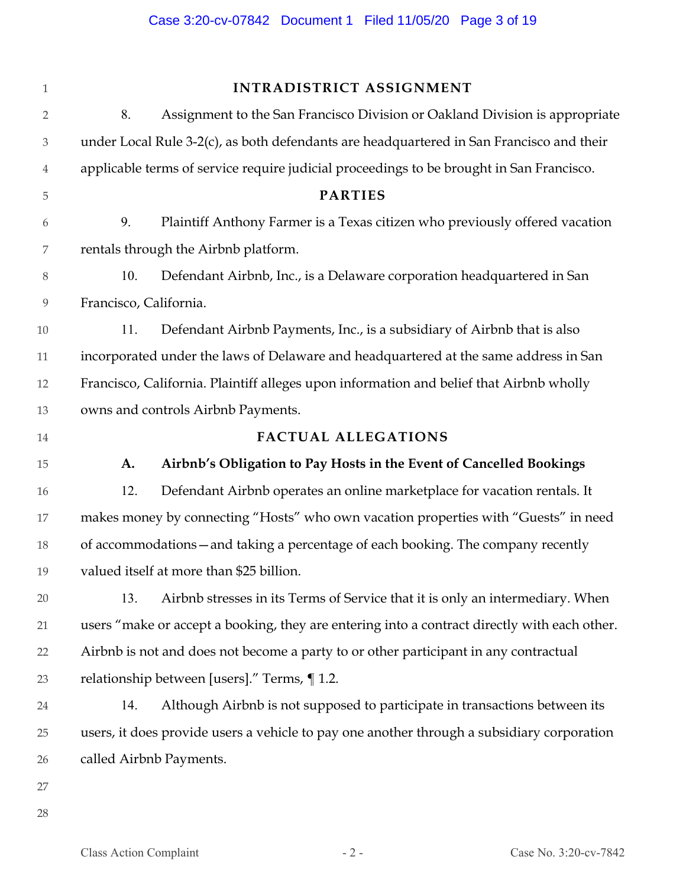| $\mathbf{1}$                |                                                                                              | INTRADISTRICT ASSIGNMENT                                                                   |
|-----------------------------|----------------------------------------------------------------------------------------------|--------------------------------------------------------------------------------------------|
| $\overline{2}$              | 8.                                                                                           | Assignment to the San Francisco Division or Oakland Division is appropriate                |
| $\ensuremath{\mathfrak{Z}}$ |                                                                                              | under Local Rule 3-2(c), as both defendants are headquartered in San Francisco and their   |
| 4                           | applicable terms of service require judicial proceedings to be brought in San Francisco.     |                                                                                            |
| 5                           |                                                                                              | <b>PARTIES</b>                                                                             |
| 6                           | 9.                                                                                           | Plaintiff Anthony Farmer is a Texas citizen who previously offered vacation                |
| $\boldsymbol{7}$            |                                                                                              | rentals through the Airbnb platform.                                                       |
| $8\,$                       | 10.                                                                                          | Defendant Airbnb, Inc., is a Delaware corporation headquartered in San                     |
| $\boldsymbol{9}$            | Francisco, California.                                                                       |                                                                                            |
| 10                          | 11.                                                                                          | Defendant Airbnb Payments, Inc., is a subsidiary of Airbnb that is also                    |
| 11                          | incorporated under the laws of Delaware and headquartered at the same address in San         |                                                                                            |
| 12                          | Francisco, California. Plaintiff alleges upon information and belief that Airbnb wholly      |                                                                                            |
| 13                          | owns and controls Airbnb Payments.                                                           |                                                                                            |
| 14                          |                                                                                              | <b>FACTUAL ALLEGATIONS</b>                                                                 |
| 15                          | A.                                                                                           | Airbnb's Obligation to Pay Hosts in the Event of Cancelled Bookings                        |
| 16                          | 12.                                                                                          | Defendant Airbnb operates an online marketplace for vacation rentals. It                   |
| 17                          |                                                                                              | makes money by connecting "Hosts" who own vacation properties with "Guests" in need        |
| 18                          |                                                                                              | of accommodations - and taking a percentage of each booking. The company recently          |
| 19                          |                                                                                              | valued itself at more than \$25 billion.                                                   |
| 20                          | 13.                                                                                          | Airbnb stresses in its Terms of Service that it is only an intermediary. When              |
| 21                          | users "make or accept a booking, they are entering into a contract directly with each other. |                                                                                            |
| 22                          | Airbnb is not and does not become a party to or other participant in any contractual         |                                                                                            |
| 23                          |                                                                                              | relationship between [users]." Terms, ¶ 1.2.                                               |
| 24                          | 14.                                                                                          | Although Airbnb is not supposed to participate in transactions between its                 |
| 25                          |                                                                                              | users, it does provide users a vehicle to pay one another through a subsidiary corporation |
| 26                          |                                                                                              | called Airbnb Payments.                                                                    |
| 27                          |                                                                                              |                                                                                            |
| 28                          |                                                                                              |                                                                                            |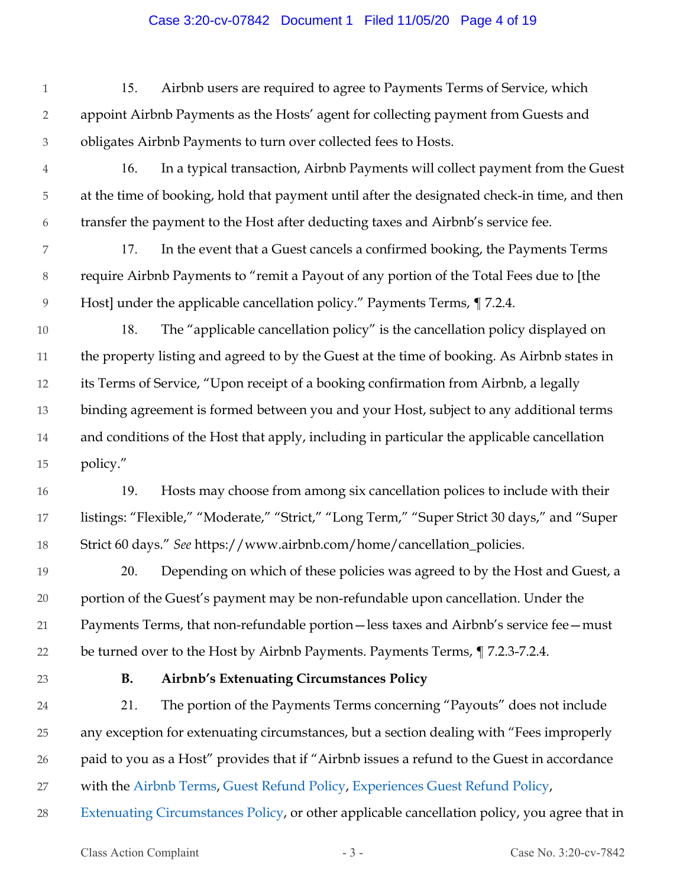#### Case 3:20-cv-07842 Document 1 Filed 11/05/20 Page 4 of 19

1 2 3 15. Airbnb users are required to agree to Payments Terms of Service, which appoint Airbnb Payments as the Hosts' agent for collecting payment from Guests and obligates Airbnb Payments to turn over collected fees to Hosts.

4 5 6 16. In a typical transaction, Airbnb Payments will collect payment from the Guest at the time of booking, hold that payment until after the designated check-in time, and then transfer the payment to the Host after deducting taxes and Airbnb's service fee.

7 8 9 17. In the event that a Guest cancels a confirmed booking, the Payments Terms require Airbnb Payments to "remit a Payout of any portion of the Total Fees due to [the Host] under the applicable cancellation policy." Payments Terms, ¶ 7.2.4.

10 11 12 13 14 15 18. The "applicable cancellation policy" is the cancellation policy displayed on the property listing and agreed to by the Guest at the time of booking. As Airbnb states in its Terms of Service, "Upon receipt of a booking confirmation from Airbnb, a legally binding agreement is formed between you and your Host, subject to any additional terms and conditions of the Host that apply, including in particular the applicable cancellation policy."

16 17 18 19. Hosts may choose from among six cancellation polices to include with their listings: "Flexible," "Moderate," "Strict," "Long Term," "Super Strict 30 days," and "Super Strict 60 days." *See* https://www.airbnb.com/home/cancellation\_policies.

19 20 21 22 20. Depending on which of these policies was agreed to by the Host and Guest, a portion of the Guest's payment may be non-refundable upon cancellation. Under the Payments Terms, that non-refundable portion—less taxes and Airbnb's service fee—must be turned over to the Host by Airbnb Payments. Payments Terms, ¶ 7.2.3-7.2.4.

23

# **B. Airbnb's Extenuating Circumstances Policy**

24 25 26 27 21. The portion of the Payments Terms concerning "Payouts" does not include any exception for extenuating circumstances, but a section dealing with "Fees improperly paid to you as a Host" provides that if "Airbnb issues a refund to the Guest in accordance with the Airbnb Terms, Guest Refund Policy, Experiences Guest Refund Policy,

28 Extenuating Circumstances Policy, or other applicable cancellation policy, you agree that in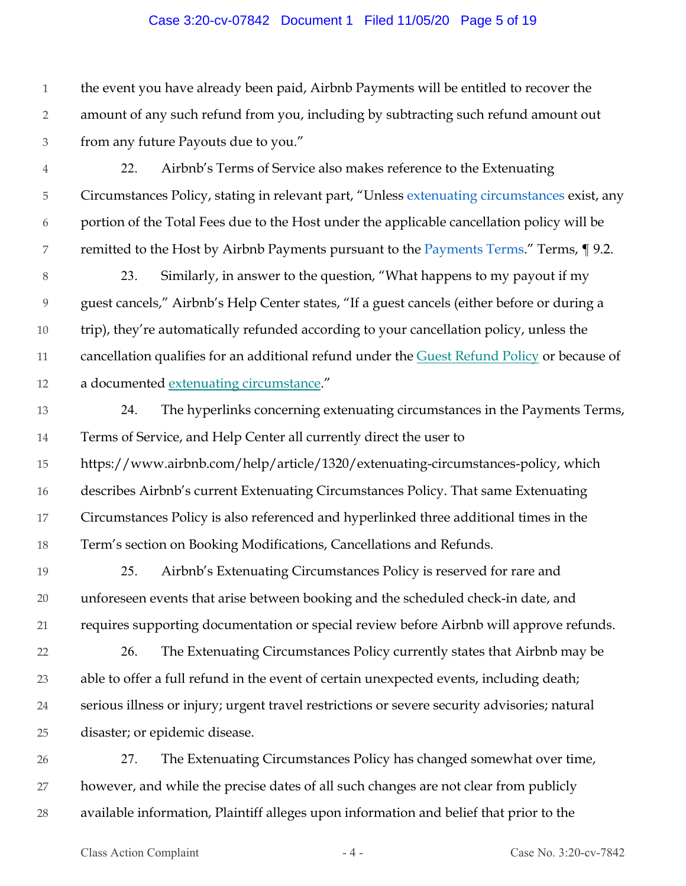#### Case 3:20-cv-07842 Document 1 Filed 11/05/20 Page 5 of 19

1 2 3 the event you have already been paid, Airbnb Payments will be entitled to recover the amount of any such refund from you, including by subtracting such refund amount out from any future Payouts due to you."

- 4 5 6 7 22. Airbnb's Terms of Service also makes reference to the Extenuating Circumstances Policy, stating in relevant part, "Unless extenuating circumstances exist, any portion of the Total Fees due to the Host under the applicable cancellation policy will be remitted to the Host by Airbnb Payments pursuant to the Payments Terms." Terms, 19.2.
- 8 9 10 11 12 23. Similarly, in answer to the question, "What happens to my payout if my guest cancels," Airbnb's Help Center states, "If a guest cancels (either before or during a trip), they're automatically refunded according to your cancellation policy, unless the cancellation qualifies for an additional refund under the Guest Refund Policy or because of a documented extenuating circumstance."
- 13 14 24. The hyperlinks concerning extenuating circumstances in the Payments Terms, Terms of Service, and Help Center all currently direct the user to
- 15 16 17 18 https://www.airbnb.com/help/article/1320/extenuating-circumstances-policy, which describes Airbnb's current Extenuating Circumstances Policy. That same Extenuating Circumstances Policy is also referenced and hyperlinked three additional times in the Term's section on Booking Modifications, Cancellations and Refunds.
- 19 20 21 25. Airbnb's Extenuating Circumstances Policy is reserved for rare and unforeseen events that arise between booking and the scheduled check-in date, and requires supporting documentation or special review before Airbnb will approve refunds.
- 22 23 24 25 26. The Extenuating Circumstances Policy currently states that Airbnb may be able to offer a full refund in the event of certain unexpected events, including death; serious illness or injury; urgent travel restrictions or severe security advisories; natural disaster; or epidemic disease.
- 26 27 28 27. The Extenuating Circumstances Policy has changed somewhat over time, however, and while the precise dates of all such changes are not clear from publicly available information, Plaintiff alleges upon information and belief that prior to the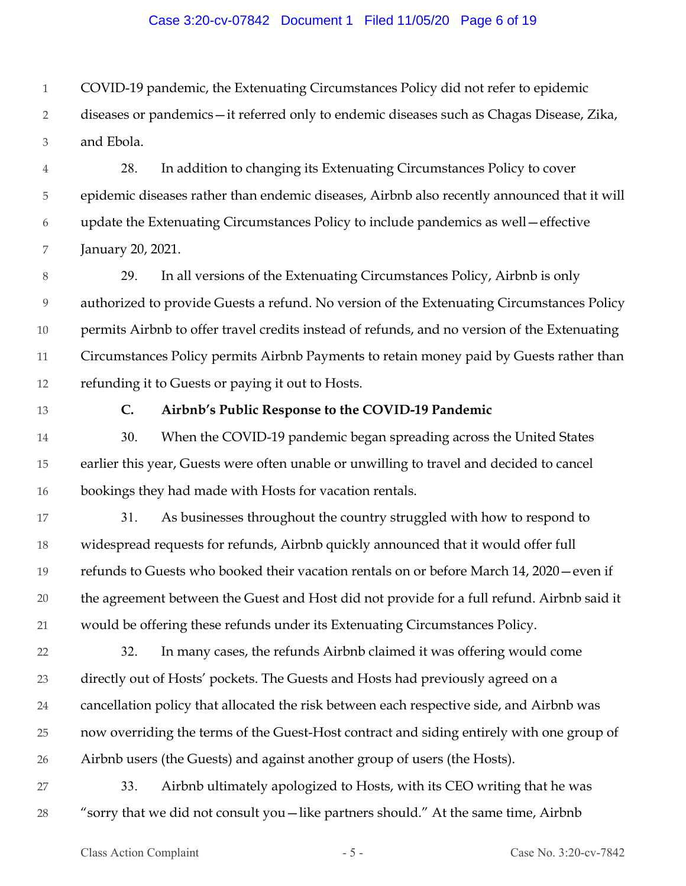#### Case 3:20-cv-07842 Document 1 Filed 11/05/20 Page 6 of 19

1 COVID-19 pandemic, the Extenuating Circumstances Policy did not refer to epidemic

2 3 diseases or pandemics—it referred only to endemic diseases such as Chagas Disease, Zika, and Ebola.

4 5 6 7 28. In addition to changing its Extenuating Circumstances Policy to cover epidemic diseases rather than endemic diseases, Airbnb also recently announced that it will update the Extenuating Circumstances Policy to include pandemics as well—effective January 20, 2021.

8 9 10 11 12 29. In all versions of the Extenuating Circumstances Policy, Airbnb is only authorized to provide Guests a refund. No version of the Extenuating Circumstances Policy permits Airbnb to offer travel credits instead of refunds, and no version of the Extenuating Circumstances Policy permits Airbnb Payments to retain money paid by Guests rather than refunding it to Guests or paying it out to Hosts.

13

## **C. Airbnb's Public Response to the COVID-19 Pandemic**

14 15 16 30. When the COVID-19 pandemic began spreading across the United States earlier this year, Guests were often unable or unwilling to travel and decided to cancel bookings they had made with Hosts for vacation rentals.

17 18 19 20 21 31. As businesses throughout the country struggled with how to respond to widespread requests for refunds, Airbnb quickly announced that it would offer full refunds to Guests who booked their vacation rentals on or before March 14, 2020—even if the agreement between the Guest and Host did not provide for a full refund. Airbnb said it would be offering these refunds under its Extenuating Circumstances Policy.

22 23 24 25 26 32. In many cases, the refunds Airbnb claimed it was offering would come directly out of Hosts' pockets. The Guests and Hosts had previously agreed on a cancellation policy that allocated the risk between each respective side, and Airbnb was now overriding the terms of the Guest-Host contract and siding entirely with one group of Airbnb users (the Guests) and against another group of users (the Hosts).

27 28 33. Airbnb ultimately apologized to Hosts, with its CEO writing that he was "sorry that we did not consult you—like partners should." At the same time, Airbnb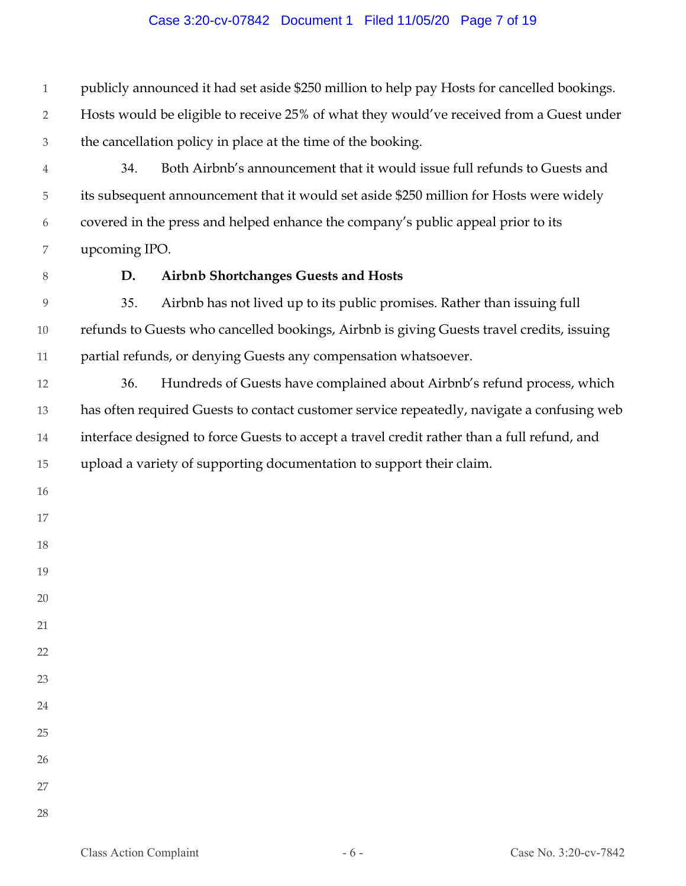## Case 3:20-cv-07842 Document 1 Filed 11/05/20 Page 7 of 19

 publicly announced it had set aside \$250 million to help pay Hosts for cancelled bookings. Hosts would be eligible to receive 25% of what they would've received from a Guest under the cancellation policy in place at the time of the booking. 34. Both Airbnb's announcement that it would issue full refunds to Guests and

 its subsequent announcement that it would set aside \$250 million for Hosts were widely covered in the press and helped enhance the company's public appeal prior to its upcoming IPO.

# **D. Airbnb Shortchanges Guests and Hosts**

 35. Airbnb has not lived up to its public promises. Rather than issuing full refunds to Guests who cancelled bookings, Airbnb is giving Guests travel credits, issuing partial refunds, or denying Guests any compensation whatsoever.

 36. Hundreds of Guests have complained about Airbnb's refund process, which has often required Guests to contact customer service repeatedly, navigate a confusing web interface designed to force Guests to accept a travel credit rather than a full refund, and upload a variety of supporting documentation to support their claim.

- 
- 
- 
- 
- 
- 
- 
- 
- 

- 
- 
- 
-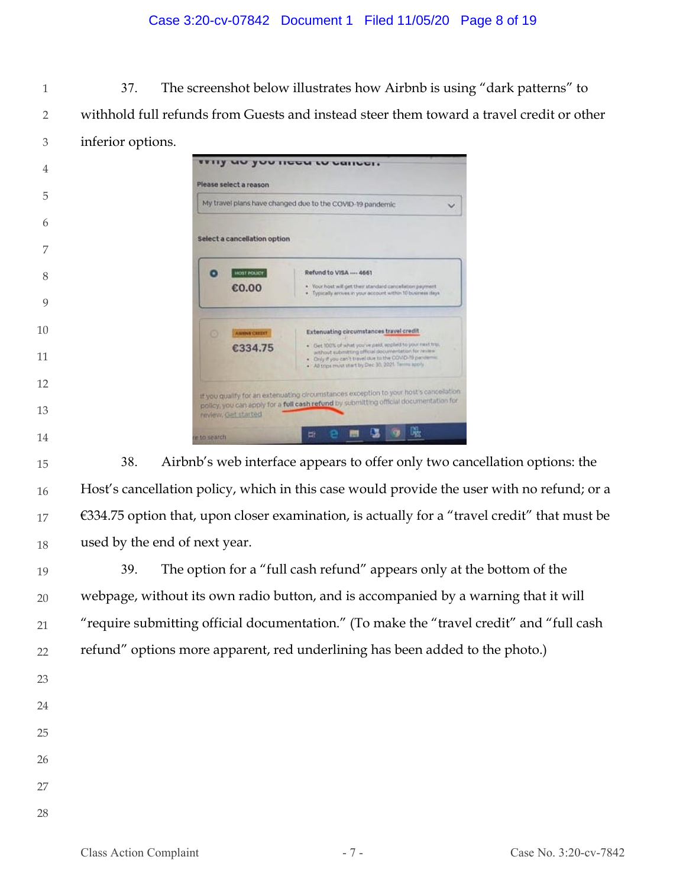## Case 3:20-cv-07842 Document 1 Filed 11/05/20 Page 8 of 19

 37. The screenshot below illustrates how Airbnb is using "dark patterns" to withhold full refunds from Guests and instead steer them toward a travel credit or other inferior options.

| 4  |              | Please select a reason       |                                                                                                                                                                                                                                        |  |
|----|--------------|------------------------------|----------------------------------------------------------------------------------------------------------------------------------------------------------------------------------------------------------------------------------------|--|
| 5  |              |                              | My travel plans have changed due to the COVID-19 pandemic                                                                                                                                                                              |  |
| 6  |              |                              |                                                                                                                                                                                                                                        |  |
| 7  |              | Select a cancellation option |                                                                                                                                                                                                                                        |  |
| 8  | ٠            | <b>HOST POLICE</b>           | Refund to VISA ---- 4661                                                                                                                                                                                                               |  |
|    |              | €0.00                        | . Your host will get their standard cancelation payment.<br>. Typically arcives in your account within 10 business days                                                                                                                |  |
| 9  |              |                              |                                                                                                                                                                                                                                        |  |
| 10 | $\circ$      | <b>ANNING CERRIT</b>         | Extenuating circumstances travel credit                                                                                                                                                                                                |  |
| 11 |              | €334.75                      | . Get 100% of what you've paid, englied to your next trus.<br>without submitting official documentation for review.<br>. Only if you can't travel due to the COVID-19 pandemic<br>. All trips must start by Dec 30, 2021. Terms spoly. |  |
| 12 |              |                              |                                                                                                                                                                                                                                        |  |
| 13 |              | review, Get started          | If you qualify for an extenuating circumstances exception to your host's cancelation<br>policy, you can apply for a full cash refund by submitting official documentation for                                                          |  |
| 14 | re to search |                              | 哚<br>빠                                                                                                                                                                                                                                 |  |

 38. Airbnb's web interface appears to offer only two cancellation options: the Host's cancellation policy, which in this case would provide the user with no refund; or a  $€334.75$  option that, upon closer examination, is actually for a "travel credit" that must be used by the end of next year.

 39. The option for a "full cash refund" appears only at the bottom of the webpage, without its own radio button, and is accompanied by a warning that it will "require submitting official documentation." (To make the "travel credit" and "full cash refund" options more apparent, red underlining has been added to the photo.)

- 
- 
- 
- 
- 
-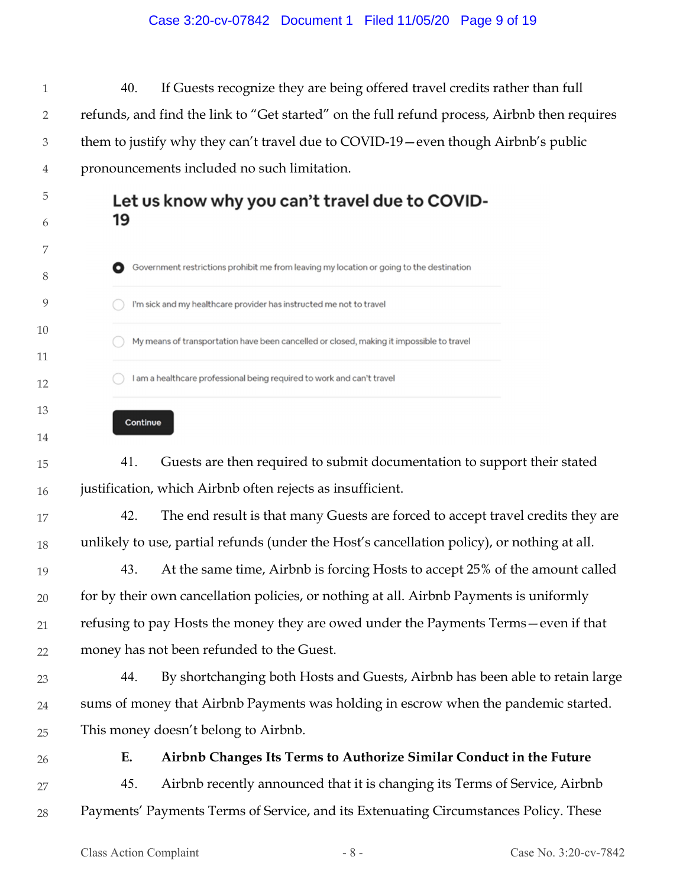## Case 3:20-cv-07842 Document 1 Filed 11/05/20 Page 9 of 19

1 2 3 4 40. If Guests recognize they are being offered travel credits rather than full refunds, and find the link to "Get started" on the full refund process, Airbnb then requires them to justify why they can't travel due to COVID-19—even though Airbnb's public pronouncements included no such limitation.

# Let us know why you can't travel due to COVID-19

- Government restrictions prohibit me from leaving my location or going to the destination I'm sick and my healthcare provider has instructed me not to travel My means of transportation have been cancelled or closed, making it impossible to travel I am a healthcare professional being required to work and can't travel
	- Continue

15 16 41. Guests are then required to submit documentation to support their stated justification, which Airbnb often rejects as insufficient.

- 17 18 42. The end result is that many Guests are forced to accept travel credits they are unlikely to use, partial refunds (under the Host's cancellation policy), or nothing at all.
- 19 20 21 22 43. At the same time, Airbnb is forcing Hosts to accept 25% of the amount called for by their own cancellation policies, or nothing at all. Airbnb Payments is uniformly refusing to pay Hosts the money they are owed under the Payments Terms—even if that money has not been refunded to the Guest.
- 23 24 25 44. By shortchanging both Hosts and Guests, Airbnb has been able to retain large sums of money that Airbnb Payments was holding in escrow when the pandemic started. This money doesn't belong to Airbnb.
- 26

5

6

7

8

9

10

11

12

13

14

# **E. Airbnb Changes Its Terms to Authorize Similar Conduct in the Future**

27 28 45. Airbnb recently announced that it is changing its Terms of Service, Airbnb Payments' Payments Terms of Service, and its Extenuating Circumstances Policy. These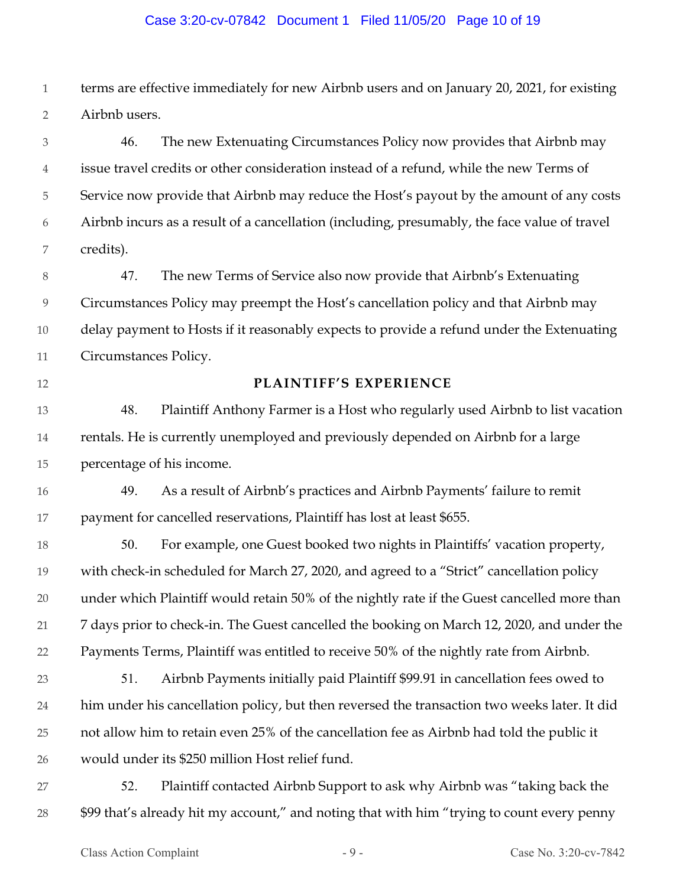#### Case 3:20-cv-07842 Document 1 Filed 11/05/20 Page 10 of 19

1 2 terms are effective immediately for new Airbnb users and on January 20, 2021, for existing Airbnb users.

3 4 5 6 7 46. The new Extenuating Circumstances Policy now provides that Airbnb may issue travel credits or other consideration instead of a refund, while the new Terms of Service now provide that Airbnb may reduce the Host's payout by the amount of any costs Airbnb incurs as a result of a cancellation (including, presumably, the face value of travel credits).

8 9 10 11 47. The new Terms of Service also now provide that Airbnb's Extenuating Circumstances Policy may preempt the Host's cancellation policy and that Airbnb may delay payment to Hosts if it reasonably expects to provide a refund under the Extenuating Circumstances Policy.

12

## **PLAINTIFF'S EXPERIENCE**

13 14 15 48. Plaintiff Anthony Farmer is a Host who regularly used Airbnb to list vacation rentals. He is currently unemployed and previously depended on Airbnb for a large percentage of his income.

16 17 49. As a result of Airbnb's practices and Airbnb Payments' failure to remit payment for cancelled reservations, Plaintiff has lost at least \$655.

18 19 20 21 22 50. For example, one Guest booked two nights in Plaintiffs' vacation property, with check-in scheduled for March 27, 2020, and agreed to a "Strict" cancellation policy under which Plaintiff would retain 50% of the nightly rate if the Guest cancelled more than 7 days prior to check-in. The Guest cancelled the booking on March 12, 2020, and under the Payments Terms, Plaintiff was entitled to receive 50% of the nightly rate from Airbnb.

- 23 24 25 26 51. Airbnb Payments initially paid Plaintiff \$99.91 in cancellation fees owed to him under his cancellation policy, but then reversed the transaction two weeks later. It did not allow him to retain even 25% of the cancellation fee as Airbnb had told the public it would under its \$250 million Host relief fund.
- 27 28 52. Plaintiff contacted Airbnb Support to ask why Airbnb was "taking back the \$99 that's already hit my account," and noting that with him "trying to count every penny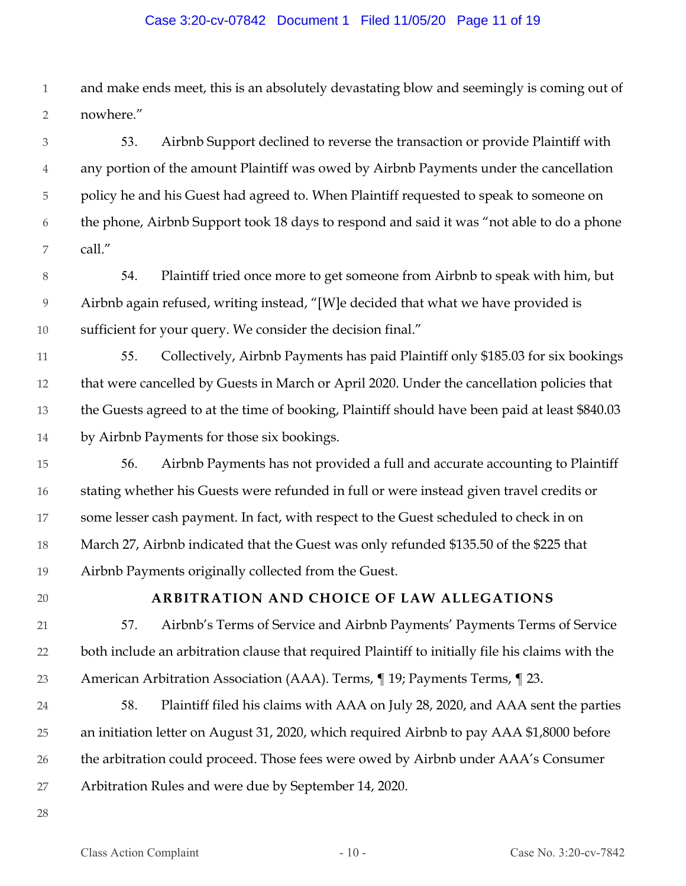#### Case 3:20-cv-07842 Document 1 Filed 11/05/20 Page 11 of 19

1 2 and make ends meet, this is an absolutely devastating blow and seemingly is coming out of nowhere."

3 4 5 6 7 53. Airbnb Support declined to reverse the transaction or provide Plaintiff with any portion of the amount Plaintiff was owed by Airbnb Payments under the cancellation policy he and his Guest had agreed to. When Plaintiff requested to speak to someone on the phone, Airbnb Support took 18 days to respond and said it was "not able to do a phone call."

- 8 9 10 54. Plaintiff tried once more to get someone from Airbnb to speak with him, but Airbnb again refused, writing instead, "[W]e decided that what we have provided is sufficient for your query. We consider the decision final."
- 11 12 13 14 55. Collectively, Airbnb Payments has paid Plaintiff only \$185.03 for six bookings that were cancelled by Guests in March or April 2020. Under the cancellation policies that the Guests agreed to at the time of booking, Plaintiff should have been paid at least \$840.03 by Airbnb Payments for those six bookings.
- 15 16 17 18 19 56. Airbnb Payments has not provided a full and accurate accounting to Plaintiff stating whether his Guests were refunded in full or were instead given travel credits or some lesser cash payment. In fact, with respect to the Guest scheduled to check in on March 27, Airbnb indicated that the Guest was only refunded \$135.50 of the \$225 that Airbnb Payments originally collected from the Guest.
- 20

# **ARBITRATION AND CHOICE OF LAW ALLEGATIONS**

- 21 22 23 57. Airbnb's Terms of Service and Airbnb Payments' Payments Terms of Service both include an arbitration clause that required Plaintiff to initially file his claims with the American Arbitration Association (AAA). Terms, ¶ 19; Payments Terms, ¶ 23.
- 24 25 26 27 58. Plaintiff filed his claims with AAA on July 28, 2020, and AAA sent the parties an initiation letter on August 31, 2020, which required Airbnb to pay AAA \$1,8000 before the arbitration could proceed. Those fees were owed by Airbnb under AAA's Consumer Arbitration Rules and were due by September 14, 2020.
- 28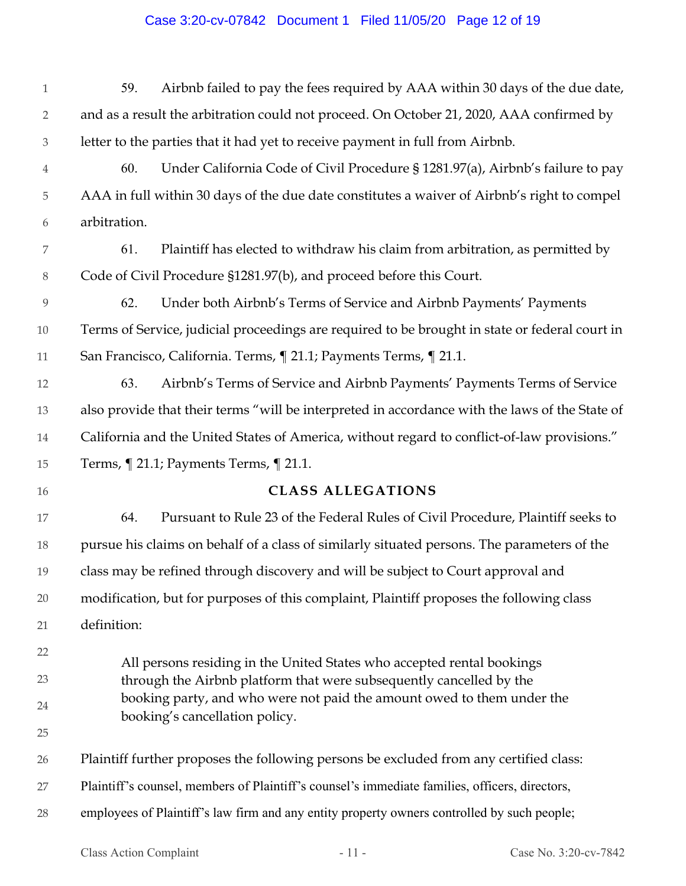# Case 3:20-cv-07842 Document 1 Filed 11/05/20 Page 12 of 19

| $\mathbf{1}$   | 59.                                                                                                      | Airbnb failed to pay the fees required by AAA within 30 days of the due date,                  |  |
|----------------|----------------------------------------------------------------------------------------------------------|------------------------------------------------------------------------------------------------|--|
| $\overline{2}$ | and as a result the arbitration could not proceed. On October 21, 2020, AAA confirmed by                 |                                                                                                |  |
| 3              | letter to the parties that it had yet to receive payment in full from Airbnb.                            |                                                                                                |  |
| 4              | 60.                                                                                                      | Under California Code of Civil Procedure § 1281.97(a), Airbnb's failure to pay                 |  |
| 5              |                                                                                                          | AAA in full within 30 days of the due date constitutes a waiver of Airbnb's right to compel    |  |
| 6              | arbitration.                                                                                             |                                                                                                |  |
| 7              | 61.                                                                                                      | Plaintiff has elected to withdraw his claim from arbitration, as permitted by                  |  |
| $8\,$          |                                                                                                          | Code of Civil Procedure §1281.97(b), and proceed before this Court.                            |  |
| 9              | 62.                                                                                                      | Under both Airbnb's Terms of Service and Airbnb Payments' Payments                             |  |
| 10             | Terms of Service, judicial proceedings are required to be brought in state or federal court in           |                                                                                                |  |
| 11             | San Francisco, California. Terms, ¶ 21.1; Payments Terms, ¶ 21.1.                                        |                                                                                                |  |
| 12             | 63.                                                                                                      | Airbnb's Terms of Service and Airbnb Payments' Payments Terms of Service                       |  |
| 13             | also provide that their terms "will be interpreted in accordance with the laws of the State of           |                                                                                                |  |
| 14             | California and the United States of America, without regard to conflict-of-law provisions."              |                                                                                                |  |
| 15             |                                                                                                          | Terms, ¶ 21.1; Payments Terms, ¶ 21.1.                                                         |  |
| 16             |                                                                                                          | <b>CLASS ALLEGATIONS</b>                                                                       |  |
| 17             | 64.                                                                                                      | Pursuant to Rule 23 of the Federal Rules of Civil Procedure, Plaintiff seeks to                |  |
| 18             |                                                                                                          | pursue his claims on behalf of a class of similarly situated persons. The parameters of the    |  |
| 19             | class may be refined through discovery and will be subject to Court approval and                         |                                                                                                |  |
| 20             | modification, but for purposes of this complaint, Plaintiff proposes the following class                 |                                                                                                |  |
| 21             | definition:                                                                                              |                                                                                                |  |
| 22             |                                                                                                          | All persons residing in the United States who accepted rental bookings                         |  |
| 23             |                                                                                                          | through the Airbnb platform that were subsequently cancelled by the                            |  |
| 24             | booking party, and who were not paid the amount owed to them under the<br>booking's cancellation policy. |                                                                                                |  |
| 25             |                                                                                                          |                                                                                                |  |
| 26             |                                                                                                          | Plaintiff further proposes the following persons be excluded from any certified class:         |  |
| 27             |                                                                                                          | Plaintiff's counsel, members of Plaintiff's counsel's immediate families, officers, directors, |  |
| 28             |                                                                                                          | employees of Plaintiff's law firm and any entity property owners controlled by such people;    |  |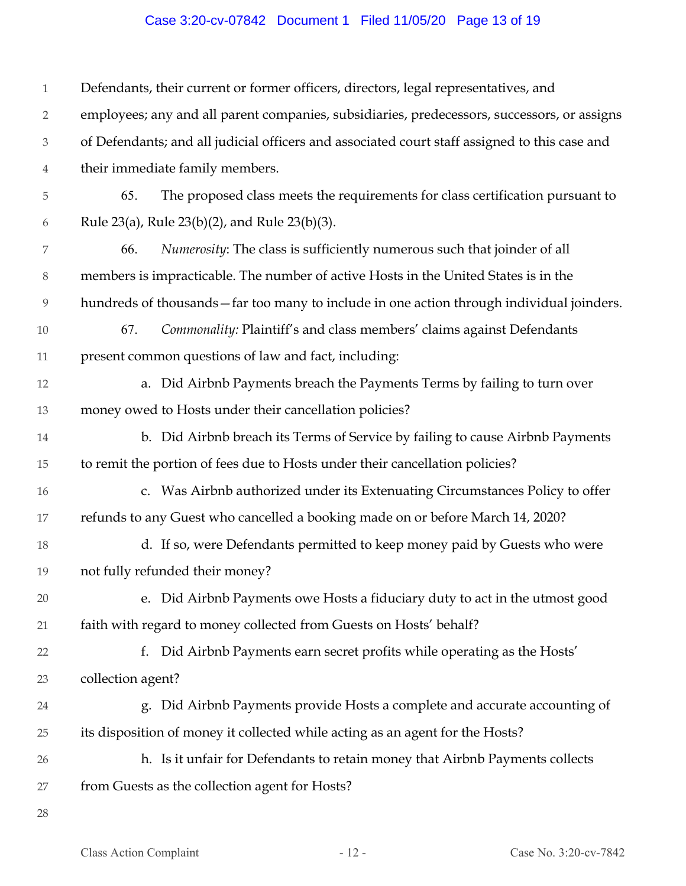# Case 3:20-cv-07842 Document 1 Filed 11/05/20 Page 13 of 19

| $\mathbf{1}$                | Defendants, their current or former officers, directors, legal representatives, and           |  |
|-----------------------------|-----------------------------------------------------------------------------------------------|--|
| $\overline{2}$              | employees; any and all parent companies, subsidiaries, predecessors, successors, or assigns   |  |
| $\ensuremath{\mathfrak{Z}}$ | of Defendants; and all judicial officers and associated court staff assigned to this case and |  |
| $\overline{4}$              | their immediate family members.                                                               |  |
| 5                           | The proposed class meets the requirements for class certification pursuant to<br>65.          |  |
| 6                           | Rule 23(a), Rule 23(b)(2), and Rule 23(b)(3).                                                 |  |
| 7                           | Numerosity: The class is sufficiently numerous such that joinder of all<br>66.                |  |
| $8\,$                       | members is impracticable. The number of active Hosts in the United States is in the           |  |
| $\overline{9}$              | hundreds of thousands - far too many to include in one action through individual joinders.    |  |
| $10\,$                      | Commonality: Plaintiff's and class members' claims against Defendants<br>67.                  |  |
| $11\,$                      | present common questions of law and fact, including:                                          |  |
| 12                          | a. Did Airbnb Payments breach the Payments Terms by failing to turn over                      |  |
| 13                          | money owed to Hosts under their cancellation policies?                                        |  |
| 14                          | b. Did Airbnb breach its Terms of Service by failing to cause Airbnb Payments                 |  |
| 15                          | to remit the portion of fees due to Hosts under their cancellation policies?                  |  |
| 16                          | c. Was Airbnb authorized under its Extenuating Circumstances Policy to offer                  |  |
| $17\,$                      | refunds to any Guest who cancelled a booking made on or before March 14, 2020?                |  |
| 18                          | d. If so, were Defendants permitted to keep money paid by Guests who were                     |  |
| 19                          | not fully refunded their money?                                                               |  |
| 20                          | e. Did Airbnb Payments owe Hosts a fiduciary duty to act in the utmost good                   |  |
| 21                          | faith with regard to money collected from Guests on Hosts' behalf?                            |  |
| 22                          | Did Airbnb Payments earn secret profits while operating as the Hosts'<br>f.                   |  |
| 23                          | collection agent?                                                                             |  |
| 24                          | g. Did Airbnb Payments provide Hosts a complete and accurate accounting of                    |  |
| 25                          | its disposition of money it collected while acting as an agent for the Hosts?                 |  |
| 26                          | h. Is it unfair for Defendants to retain money that Airbnb Payments collects                  |  |
| 27                          | from Guests as the collection agent for Hosts?                                                |  |
| 28                          |                                                                                               |  |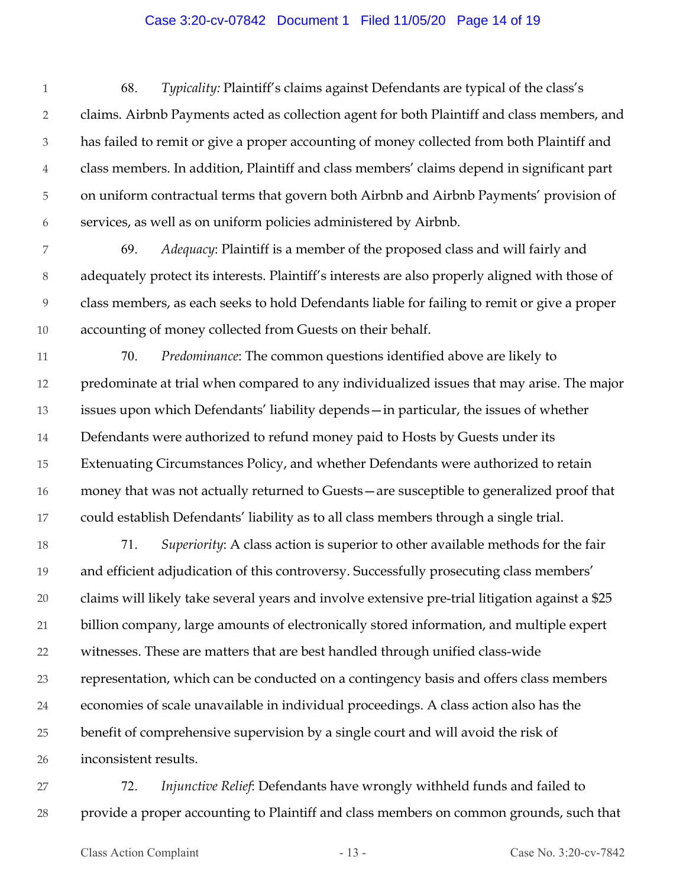#### Case 3:20-cv-07842 Document 1 Filed 11/05/20 Page 14 of 19

1 2 3 4 5 6 68. *Typicality:* Plaintiff's claims against Defendants are typical of the class's claims. Airbnb Payments acted as collection agent for both Plaintiff and class members, and has failed to remit or give a proper accounting of money collected from both Plaintiff and class members. In addition, Plaintiff and class members' claims depend in significant part on uniform contractual terms that govern both Airbnb and Airbnb Payments' provision of services, as well as on uniform policies administered by Airbnb.

7 8 9 10 69. *Adequacy*: Plaintiff is a member of the proposed class and will fairly and adequately protect its interests. Plaintiff's interests are also properly aligned with those of class members, as each seeks to hold Defendants liable for failing to remit or give a proper accounting of money collected from Guests on their behalf.

11 12 13 14 15 16 17 70. *Predominance*: The common questions identified above are likely to predominate at trial when compared to any individualized issues that may arise. The major issues upon which Defendants' liability depends—in particular, the issues of whether Defendants were authorized to refund money paid to Hosts by Guests under its Extenuating Circumstances Policy, and whether Defendants were authorized to retain money that was not actually returned to Guests—are susceptible to generalized proof that could establish Defendants' liability as to all class members through a single trial.

18 19 20 21 22 23 24 25 26 71. *Superiority*: A class action is superior to other available methods for the fair and efficient adjudication of this controversy. Successfully prosecuting class members' claims will likely take several years and involve extensive pre-trial litigation against a \$25 billion company, large amounts of electronically stored information, and multiple expert witnesses. These are matters that are best handled through unified class-wide representation, which can be conducted on a contingency basis and offers class members economies of scale unavailable in individual proceedings. A class action also has the benefit of comprehensive supervision by a single court and will avoid the risk of inconsistent results.

27 28 72. *Injunctive Relief*: Defendants have wrongly withheld funds and failed to provide a proper accounting to Plaintiff and class members on common grounds, such that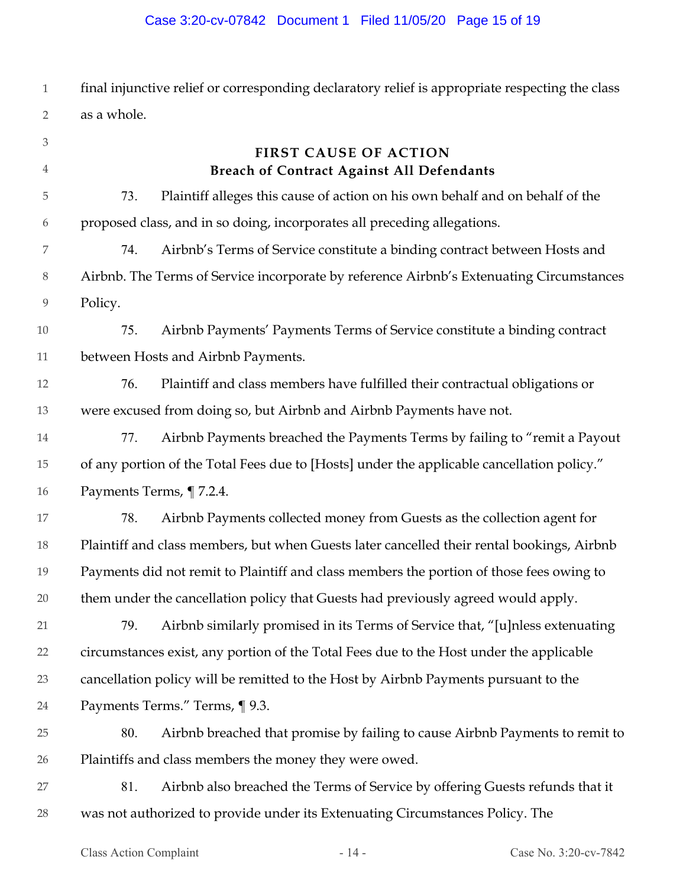# Case 3:20-cv-07842 Document 1 Filed 11/05/20 Page 15 of 19

1 2 final injunctive relief or corresponding declaratory relief is appropriate respecting the class as a whole.

| $\mathfrak{Z}$ |                                                                                            | <b>FIRST CAUSE OF ACTION</b>                                                               |
|----------------|--------------------------------------------------------------------------------------------|--------------------------------------------------------------------------------------------|
| 4              |                                                                                            | Breach of Contract Against All Defendants                                                  |
| 5              | 73.                                                                                        | Plaintiff alleges this cause of action on his own behalf and on behalf of the              |
| 6              |                                                                                            | proposed class, and in so doing, incorporates all preceding allegations.                   |
| 7              | 74.                                                                                        | Airbnb's Terms of Service constitute a binding contract between Hosts and                  |
| $8\,$          |                                                                                            | Airbnb. The Terms of Service incorporate by reference Airbnb's Extenuating Circumstances   |
| 9              | Policy.                                                                                    |                                                                                            |
| $10\,$         | 75.                                                                                        | Airbnb Payments' Payments Terms of Service constitute a binding contract                   |
| 11             |                                                                                            | between Hosts and Airbnb Payments.                                                         |
| 12             | 76.                                                                                        | Plaintiff and class members have fulfilled their contractual obligations or                |
| 13             |                                                                                            | were excused from doing so, but Airbnb and Airbnb Payments have not.                       |
| $14\,$         | 77.                                                                                        | Airbnb Payments breached the Payments Terms by failing to "remit a Payout                  |
| 15             | of any portion of the Total Fees due to [Hosts] under the applicable cancellation policy." |                                                                                            |
| 16             |                                                                                            | Payments Terms, ¶7.2.4.                                                                    |
| 17             | 78.                                                                                        | Airbnb Payments collected money from Guests as the collection agent for                    |
| 18             |                                                                                            | Plaintiff and class members, but when Guests later cancelled their rental bookings, Airbnb |
| 19             |                                                                                            | Payments did not remit to Plaintiff and class members the portion of those fees owing to   |
| 20             |                                                                                            | them under the cancellation policy that Guests had previously agreed would apply.          |
| 21             | 79.                                                                                        | Airbnb similarly promised in its Terms of Service that, "[u]nless extenuating              |
| 22             | circumstances exist, any portion of the Total Fees due to the Host under the applicable    |                                                                                            |
| 23             | cancellation policy will be remitted to the Host by Airbnb Payments pursuant to the        |                                                                                            |
| 24             | Payments Terms." Terms, ¶ 9.3.                                                             |                                                                                            |
| 25             | 80.                                                                                        | Airbnb breached that promise by failing to cause Airbnb Payments to remit to               |
| 26             |                                                                                            | Plaintiffs and class members the money they were owed.                                     |
| 27             | 81.                                                                                        | Airbnb also breached the Terms of Service by offering Guests refunds that it               |
| 28             |                                                                                            | was not authorized to provide under its Extenuating Circumstances Policy. The              |
|                |                                                                                            |                                                                                            |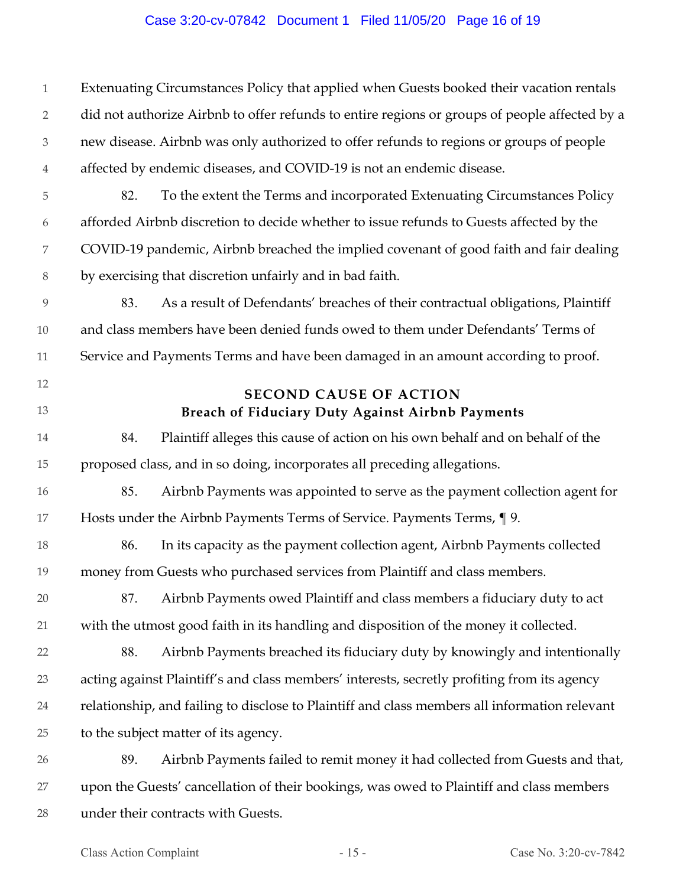## Case 3:20-cv-07842 Document 1 Filed 11/05/20 Page 16 of 19

1 2 3 4 5 6 7 8 9 10 11 12 13 14 15 16 17 18 19 20 21 22 23 24 25 26 27 28 Extenuating Circumstances Policy that applied when Guests booked their vacation rentals did not authorize Airbnb to offer refunds to entire regions or groups of people affected by a new disease. Airbnb was only authorized to offer refunds to regions or groups of people affected by endemic diseases, and COVID-19 is not an endemic disease. 82. To the extent the Terms and incorporated Extenuating Circumstances Policy afforded Airbnb discretion to decide whether to issue refunds to Guests affected by the COVID-19 pandemic, Airbnb breached the implied covenant of good faith and fair dealing by exercising that discretion unfairly and in bad faith. 83. As a result of Defendants' breaches of their contractual obligations, Plaintiff and class members have been denied funds owed to them under Defendants' Terms of Service and Payments Terms and have been damaged in an amount according to proof. **SECOND CAUSE OF ACTION Breach of Fiduciary Duty Against Airbnb Payments**  84. Plaintiff alleges this cause of action on his own behalf and on behalf of the proposed class, and in so doing, incorporates all preceding allegations. 85. Airbnb Payments was appointed to serve as the payment collection agent for Hosts under the Airbnb Payments Terms of Service. Payments Terms, ¶ 9. 86. In its capacity as the payment collection agent, Airbnb Payments collected money from Guests who purchased services from Plaintiff and class members. 87. Airbnb Payments owed Plaintiff and class members a fiduciary duty to act with the utmost good faith in its handling and disposition of the money it collected. 88. Airbnb Payments breached its fiduciary duty by knowingly and intentionally acting against Plaintiff's and class members' interests, secretly profiting from its agency relationship, and failing to disclose to Plaintiff and class members all information relevant to the subject matter of its agency. 89. Airbnb Payments failed to remit money it had collected from Guests and that, upon the Guests' cancellation of their bookings, was owed to Plaintiff and class members under their contracts with Guests.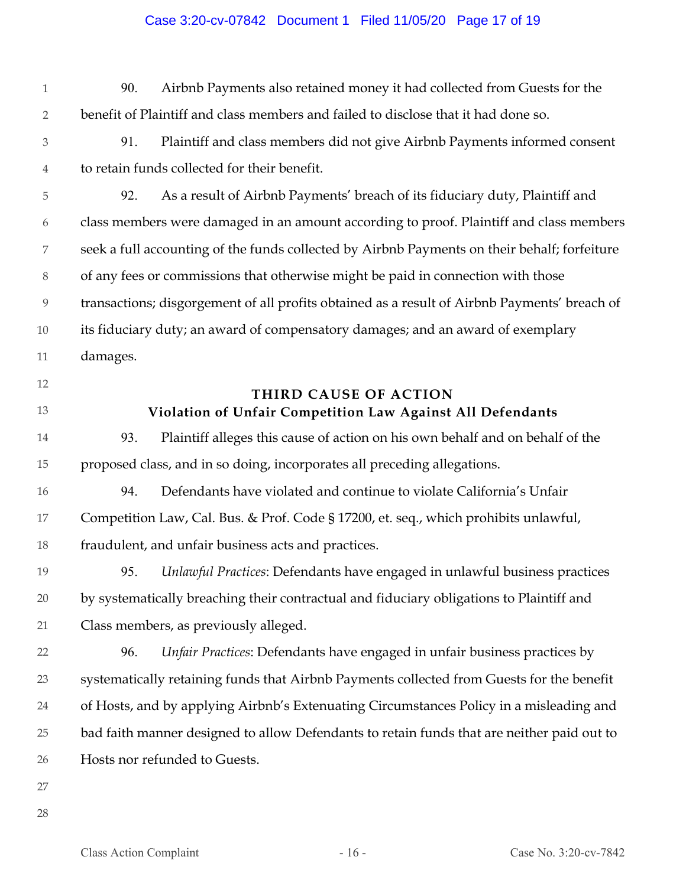## Case 3:20-cv-07842 Document 1 Filed 11/05/20 Page 17 of 19

- 1 2 90. Airbnb Payments also retained money it had collected from Guests for the benefit of Plaintiff and class members and failed to disclose that it had done so.
- 3 4 91. Plaintiff and class members did not give Airbnb Payments informed consent to retain funds collected for their benefit.

5 6 7 8 9 10 11 92. As a result of Airbnb Payments' breach of its fiduciary duty, Plaintiff and class members were damaged in an amount according to proof. Plaintiff and class members seek a full accounting of the funds collected by Airbnb Payments on their behalf; forfeiture of any fees or commissions that otherwise might be paid in connection with those transactions; disgorgement of all profits obtained as a result of Airbnb Payments' breach of its fiduciary duty; an award of compensatory damages; and an award of exemplary damages.

- 12
- 13

# **THIRD CAUSE OF ACTION Violation of Unfair Competition Law Against All Defendants**

- 14 15 93. Plaintiff alleges this cause of action on his own behalf and on behalf of the proposed class, and in so doing, incorporates all preceding allegations.
- 16 17 18 94. Defendants have violated and continue to violate California's Unfair Competition Law, Cal. Bus. & Prof. Code § 17200, et. seq., which prohibits unlawful, fraudulent, and unfair business acts and practices.
- 19 20 21 95. *Unlawful Practices*: Defendants have engaged in unlawful business practices by systematically breaching their contractual and fiduciary obligations to Plaintiff and Class members, as previously alleged.
- 22 23 24 25 26 96. *Unfair Practices*: Defendants have engaged in unfair business practices by systematically retaining funds that Airbnb Payments collected from Guests for the benefit of Hosts, and by applying Airbnb's Extenuating Circumstances Policy in a misleading and bad faith manner designed to allow Defendants to retain funds that are neither paid out to Hosts nor refunded to Guests.
- 27
- 28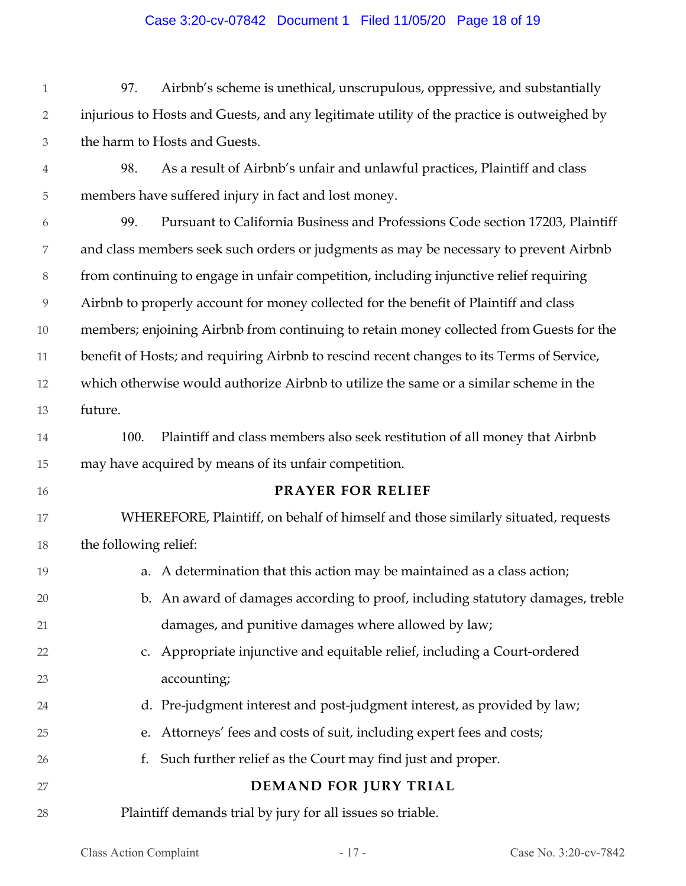### Case 3:20-cv-07842 Document 1 Filed 11/05/20 Page 18 of 19

1 2 3 97. Airbnb's scheme is unethical, unscrupulous, oppressive, and substantially injurious to Hosts and Guests, and any legitimate utility of the practice is outweighed by the harm to Hosts and Guests.

4

5 98. As a result of Airbnb's unfair and unlawful practices, Plaintiff and class members have suffered injury in fact and lost money.

6 7 8 9 10 11 12 13 99. Pursuant to California Business and Professions Code section 17203, Plaintiff and class members seek such orders or judgments as may be necessary to prevent Airbnb from continuing to engage in unfair competition, including injunctive relief requiring Airbnb to properly account for money collected for the benefit of Plaintiff and class members; enjoining Airbnb from continuing to retain money collected from Guests for the benefit of Hosts; and requiring Airbnb to rescind recent changes to its Terms of Service, which otherwise would authorize Airbnb to utilize the same or a similar scheme in the future.

14 15 100. Plaintiff and class members also seek restitution of all money that Airbnb may have acquired by means of its unfair competition.

16

24

25

26

27

## **PRAYER FOR RELIEF**

17 18 WHEREFORE, Plaintiff, on behalf of himself and those similarly situated, requests the following relief:

- 19 20 21 22 a. A determination that this action may be maintained as a class action; b. An award of damages according to proof, including statutory damages, treble damages, and punitive damages where allowed by law; c. Appropriate injunctive and equitable relief, including a Court-ordered
- 23 accounting;
	- d. Pre-judgment interest and post-judgment interest, as provided by law;
	- e. Attorneys' fees and costs of suit, including expert fees and costs;
	- f. Such further relief as the Court may find just and proper.

# **DEMAND FOR JURY TRIAL**

28 Plaintiff demands trial by jury for all issues so triable.